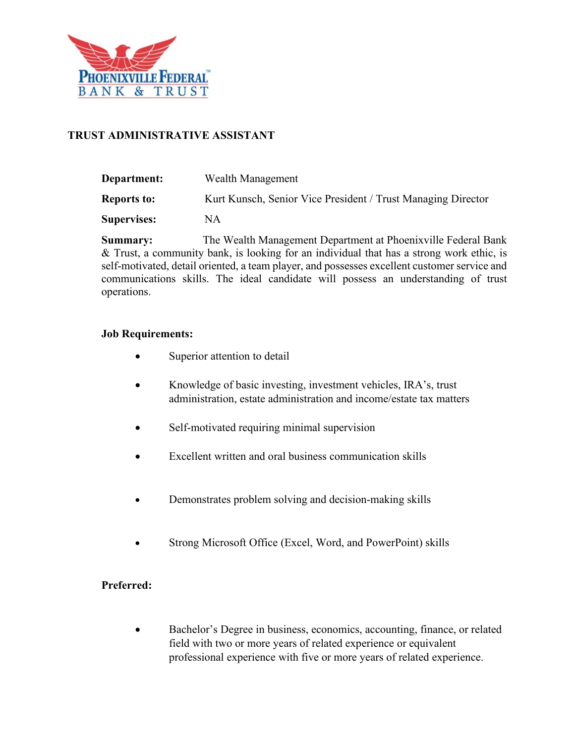

## **TRUST ADMINISTRATIVE ASSISTANT**

| <b>Department:</b> | Wealth Management                                            |
|--------------------|--------------------------------------------------------------|
| <b>Reports to:</b> | Kurt Kunsch, Senior Vice President / Trust Managing Director |
| <b>Supervises:</b> | NΑ                                                           |

**Summary:** The Wealth Management Department at Phoenixville Federal Bank & Trust, a community bank, is looking for an individual that has a strong work ethic, is self-motivated, detail oriented, a team player, and possesses excellent customer service and communications skills. The ideal candidate will possess an understanding of trust operations.

## **Job Requirements:**

- Superior attention to detail
- Knowledge of basic investing, investment vehicles, IRA's, trust administration, estate administration and income/estate tax matters
- Self-motivated requiring minimal supervision
- Excellent written and oral business communication skills
- Demonstrates problem solving and decision-making skills
- Strong Microsoft Office (Excel, Word, and PowerPoint) skills

## **Preferred:**

• Bachelor's Degree in business, economics, accounting, finance, or related field with two or more years of related experience or equivalent professional experience with five or more years of related experience.